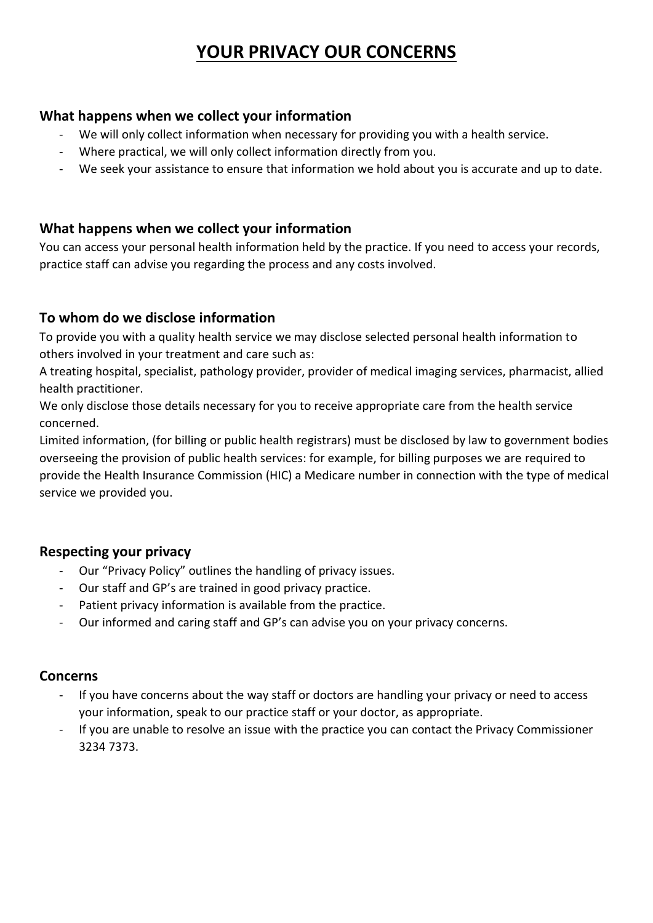# **YOUR PRIVACY OUR CONCERNS**

#### **What happens when we collect your information**

- We will only collect information when necessary for providing you with a health service.
- Where practical, we will only collect information directly from you.
- We seek your assistance to ensure that information we hold about you is accurate and up to date.

#### **What happens when we collect your information**

You can access your personal health information held by the practice. If you need to access your records, practice staff can advise you regarding the process and any costs involved.

#### **To whom do we disclose information**

To provide you with a quality health service we may disclose selected personal health information to others involved in your treatment and care such as:

A treating hospital, specialist, pathology provider, provider of medical imaging services, pharmacist, allied health practitioner.

We only disclose those details necessary for you to receive appropriate care from the health service concerned.

Limited information, (for billing or public health registrars) must be disclosed by law to government bodies overseeing the provision of public health services: for example, for billing purposes we are required to provide the Health Insurance Commission (HIC) a Medicare number in connection with the type of medical service we provided you.

## **Respecting your privacy**

- Our "Privacy Policy" outlines the handling of privacy issues.
- Our staff and GP's are trained in good privacy practice.
- Patient privacy information is available from the practice.
- Our informed and caring staff and GP's can advise you on your privacy concerns.

#### **Concerns**

- If you have concerns about the way staff or doctors are handling your privacy or need to access your information, speak to our practice staff or your doctor, as appropriate.
- If you are unable to resolve an issue with the practice you can contact the Privacy Commissioner 3234 7373.